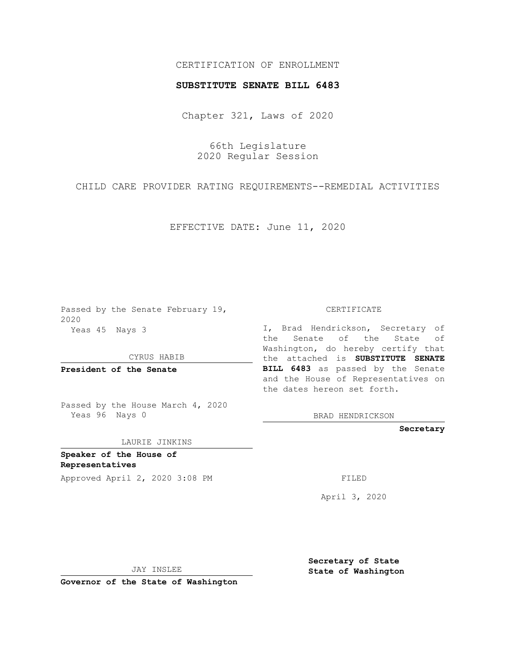## CERTIFICATION OF ENROLLMENT

## **SUBSTITUTE SENATE BILL 6483**

Chapter 321, Laws of 2020

66th Legislature 2020 Regular Session

CHILD CARE PROVIDER RATING REQUIREMENTS--REMEDIAL ACTIVITIES

EFFECTIVE DATE: June 11, 2020

Passed by the Senate February 19, 2020 Yeas 45 Nays 3

CYRUS HABIB

**President of the Senate**

Passed by the House March 4, 2020 Yeas 96 Nays 0

LAURIE JINKINS

**Speaker of the House of Representatives** Approved April 2, 2020 3:08 PM

CERTIFICATE

I, Brad Hendrickson, Secretary of the Senate of the State of Washington, do hereby certify that the attached is **SUBSTITUTE SENATE BILL 6483** as passed by the Senate and the House of Representatives on the dates hereon set forth.

BRAD HENDRICKSON

**Secretary**

April 3, 2020

JAY INSLEE

**Governor of the State of Washington**

**Secretary of State State of Washington**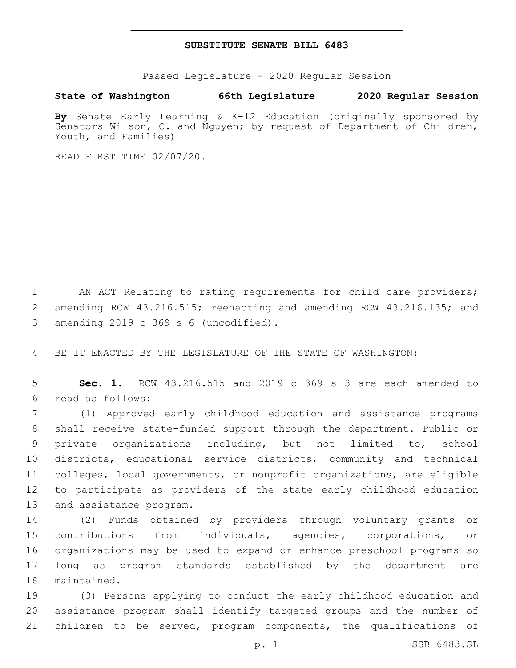## **SUBSTITUTE SENATE BILL 6483**

Passed Legislature - 2020 Regular Session

**State of Washington 66th Legislature 2020 Regular Session**

**By** Senate Early Learning & K-12 Education (originally sponsored by Senators Wilson, C. and Nguyen; by request of Department of Children, Youth, and Families)

READ FIRST TIME 02/07/20.

1 AN ACT Relating to rating requirements for child care providers; 2 amending RCW 43.216.515; reenacting and amending RCW 43.216.135; and 3 amending 2019 c 369 s 6 (uncodified).

4 BE IT ENACTED BY THE LEGISLATURE OF THE STATE OF WASHINGTON:

5 **Sec. 1.** RCW 43.216.515 and 2019 c 369 s 3 are each amended to read as follows:6

 (1) Approved early childhood education and assistance programs shall receive state-funded support through the department. Public or private organizations including, but not limited to, school districts, educational service districts, community and technical colleges, local governments, or nonprofit organizations, are eligible to participate as providers of the state early childhood education 13 and assistance program.

 (2) Funds obtained by providers through voluntary grants or contributions from individuals, agencies, corporations, or organizations may be used to expand or enhance preschool programs so long as program standards established by the department are 18 maintained.

19 (3) Persons applying to conduct the early childhood education and 20 assistance program shall identify targeted groups and the number of 21 children to be served, program components, the qualifications of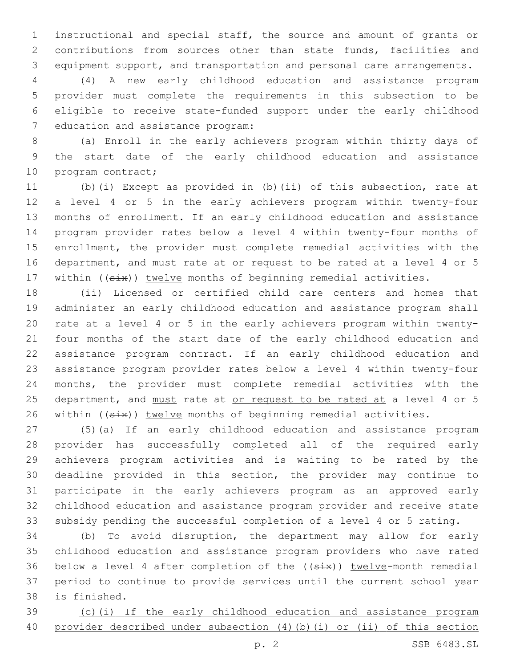instructional and special staff, the source and amount of grants or contributions from sources other than state funds, facilities and equipment support, and transportation and personal care arrangements.

 (4) A new early childhood education and assistance program provider must complete the requirements in this subsection to be eligible to receive state-funded support under the early childhood 7 education and assistance program:

 (a) Enroll in the early achievers program within thirty days of the start date of the early childhood education and assistance 10 program contract;

 (b)(i) Except as provided in (b)(ii) of this subsection, rate at a level 4 or 5 in the early achievers program within twenty-four months of enrollment. If an early childhood education and assistance program provider rates below a level 4 within twenty-four months of enrollment, the provider must complete remedial activities with the 16 department, and must rate at or request to be rated at a level 4 or 5 17 within ((six)) twelve months of beginning remedial activities.

 (ii) Licensed or certified child care centers and homes that administer an early childhood education and assistance program shall rate at a level 4 or 5 in the early achievers program within twenty- four months of the start date of the early childhood education and assistance program contract. If an early childhood education and assistance program provider rates below a level 4 within twenty-four months, the provider must complete remedial activities with the 25 department, and must rate at or request to be rated at a level 4 or 5 26 within ((six)) twelve months of beginning remedial activities.

 (5)(a) If an early childhood education and assistance program provider has successfully completed all of the required early achievers program activities and is waiting to be rated by the deadline provided in this section, the provider may continue to participate in the early achievers program as an approved early childhood education and assistance program provider and receive state subsidy pending the successful completion of a level 4 or 5 rating.

 (b) To avoid disruption, the department may allow for early childhood education and assistance program providers who have rated 36 below a level 4 after completion of the  $((six))$  twelve-month remedial period to continue to provide services until the current school year 38 is finished.

 (c)(i) If the early childhood education and assistance program 40 provider described under subsection (4)(b)(i) or (ii) of this section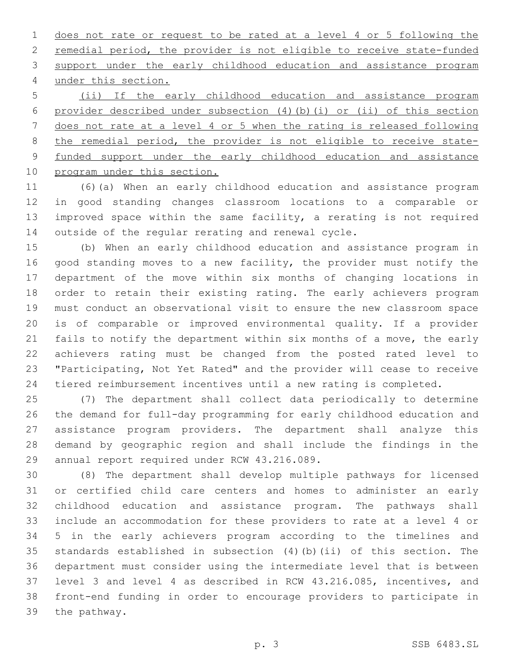does not rate or request to be rated at a level 4 or 5 following the remedial period, the provider is not eligible to receive state-funded support under the early childhood education and assistance program under this section.4

 (ii) If the early childhood education and assistance program provider described under subsection (4)(b)(i) or (ii) of this section does not rate at a level 4 or 5 when the rating is released following the remedial period, the provider is not eligible to receive state- funded support under the early childhood education and assistance 10 program under this section.

 (6)(a) When an early childhood education and assistance program in good standing changes classroom locations to a comparable or improved space within the same facility, a rerating is not required outside of the regular rerating and renewal cycle.

 (b) When an early childhood education and assistance program in good standing moves to a new facility, the provider must notify the department of the move within six months of changing locations in order to retain their existing rating. The early achievers program must conduct an observational visit to ensure the new classroom space is of comparable or improved environmental quality. If a provider fails to notify the department within six months of a move, the early achievers rating must be changed from the posted rated level to "Participating, Not Yet Rated" and the provider will cease to receive tiered reimbursement incentives until a new rating is completed.

 (7) The department shall collect data periodically to determine the demand for full-day programming for early childhood education and assistance program providers. The department shall analyze this demand by geographic region and shall include the findings in the 29 annual report required under RCW 43.216.089.

 (8) The department shall develop multiple pathways for licensed or certified child care centers and homes to administer an early childhood education and assistance program. The pathways shall include an accommodation for these providers to rate at a level 4 or 5 in the early achievers program according to the timelines and standards established in subsection (4)(b)(ii) of this section. The department must consider using the intermediate level that is between level 3 and level 4 as described in RCW 43.216.085, incentives, and front-end funding in order to encourage providers to participate in 39 the pathway.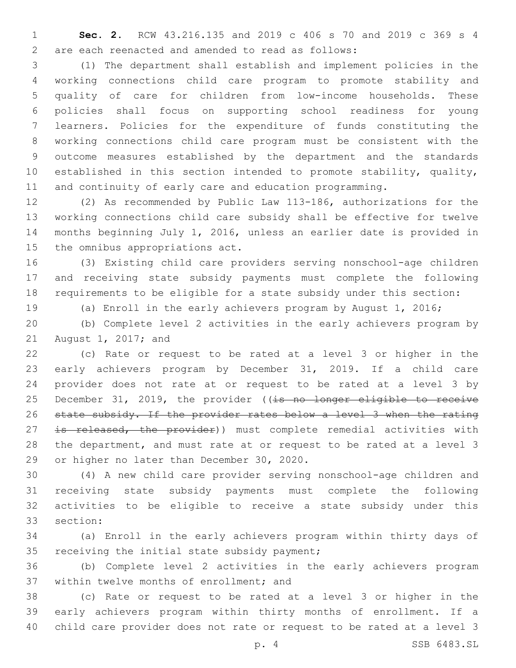**Sec. 2.** RCW 43.216.135 and 2019 c 406 s 70 and 2019 c 369 s 4 are each reenacted and amended to read as follows:2

 (1) The department shall establish and implement policies in the working connections child care program to promote stability and quality of care for children from low-income households. These policies shall focus on supporting school readiness for young learners. Policies for the expenditure of funds constituting the working connections child care program must be consistent with the outcome measures established by the department and the standards established in this section intended to promote stability, quality, and continuity of early care and education programming.

 (2) As recommended by Public Law 113-186, authorizations for the working connections child care subsidy shall be effective for twelve months beginning July 1, 2016, unless an earlier date is provided in 15 the omnibus appropriations act.

 (3) Existing child care providers serving nonschool-age children and receiving state subsidy payments must complete the following requirements to be eligible for a state subsidy under this section:

(a) Enroll in the early achievers program by August 1, 2016;

 (b) Complete level 2 activities in the early achievers program by 21 August 1, 2017; and

 (c) Rate or request to be rated at a level 3 or higher in the early achievers program by December 31, 2019. If a child care provider does not rate at or request to be rated at a level 3 by 25 December 31, 2019, the provider ((is no longer eligible to receive state subsidy. If the provider rates below a level 3 when the rating 27 is released, the provider)) must complete remedial activities with the department, and must rate at or request to be rated at a level 3 29 or higher no later than December 30, 2020.

 (4) A new child care provider serving nonschool-age children and receiving state subsidy payments must complete the following activities to be eligible to receive a state subsidy under this 33 section:

 (a) Enroll in the early achievers program within thirty days of 35 receiving the initial state subsidy payment;

 (b) Complete level 2 activities in the early achievers program 37 within twelve months of enrollment; and

 (c) Rate or request to be rated at a level 3 or higher in the early achievers program within thirty months of enrollment. If a child care provider does not rate or request to be rated at a level 3

p. 4 SSB 6483.SL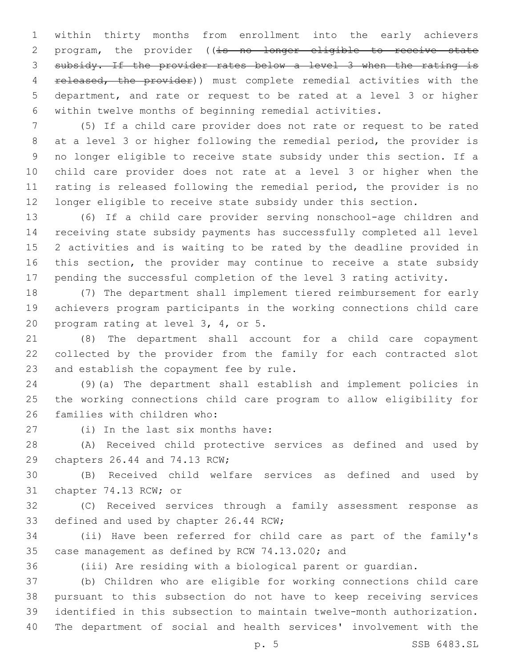within thirty months from enrollment into the early achievers 2 program, the provider ((is no longer eligible to receive state subsidy. If the provider rates below a level 3 when the rating is 4 released, the provider)) must complete remedial activities with the department, and rate or request to be rated at a level 3 or higher within twelve months of beginning remedial activities.

 (5) If a child care provider does not rate or request to be rated at a level 3 or higher following the remedial period, the provider is no longer eligible to receive state subsidy under this section. If a child care provider does not rate at a level 3 or higher when the rating is released following the remedial period, the provider is no longer eligible to receive state subsidy under this section.

 (6) If a child care provider serving nonschool-age children and receiving state subsidy payments has successfully completed all level 2 activities and is waiting to be rated by the deadline provided in this section, the provider may continue to receive a state subsidy pending the successful completion of the level 3 rating activity.

 (7) The department shall implement tiered reimbursement for early achievers program participants in the working connections child care 20 program rating at level  $3, 4,$  or  $5.20$ 

 (8) The department shall account for a child care copayment collected by the provider from the family for each contracted slot 23 and establish the copayment fee by rule.

 (9)(a) The department shall establish and implement policies in the working connections child care program to allow eligibility for 26 families with children who:

27 (i) In the last six months have:

 (A) Received child protective services as defined and used by 29 chapters 26.44 and 74.13 RCW;

 (B) Received child welfare services as defined and used by 31 chapter 74.13 RCW; or

 (C) Received services through a family assessment response as 33 defined and used by chapter 26.44 RCW;

 (ii) Have been referred for child care as part of the family's 35 case management as defined by RCW 74.13.020; and

(iii) Are residing with a biological parent or guardian.

 (b) Children who are eligible for working connections child care pursuant to this subsection do not have to keep receiving services identified in this subsection to maintain twelve-month authorization. The department of social and health services' involvement with the

p. 5 SSB 6483.SL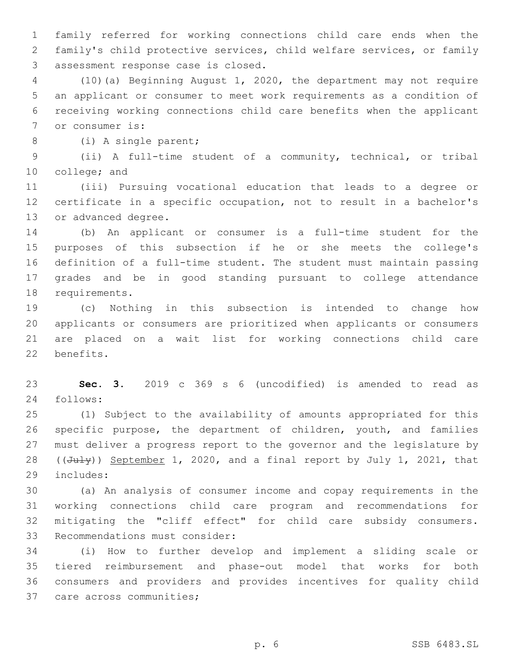family referred for working connections child care ends when the family's child protective services, child welfare services, or family 3 assessment response case is closed.

 (10)(a) Beginning August 1, 2020, the department may not require an applicant or consumer to meet work requirements as a condition of receiving working connections child care benefits when the applicant 7 or consumer is:

8 (i) A single parent;

 (ii) A full-time student of a community, technical, or tribal 10 college; and

 (iii) Pursuing vocational education that leads to a degree or certificate in a specific occupation, not to result in a bachelor's 13 or advanced degree.

 (b) An applicant or consumer is a full-time student for the purposes of this subsection if he or she meets the college's definition of a full-time student. The student must maintain passing grades and be in good standing pursuant to college attendance 18 requirements.

 (c) Nothing in this subsection is intended to change how applicants or consumers are prioritized when applicants or consumers are placed on a wait list for working connections child care 22 benefits.

 **Sec. 3.** 2019 c 369 s 6 (uncodified) is amended to read as 24 follows:

 (1) Subject to the availability of amounts appropriated for this specific purpose, the department of children, youth, and families must deliver a progress report to the governor and the legislature by 28 ( $(\text{July})$ ) September 1, 2020, and a final report by July 1, 2021, that includes:29

 (a) An analysis of consumer income and copay requirements in the working connections child care program and recommendations for mitigating the "cliff effect" for child care subsidy consumers. 33 Recommendations must consider:

 (i) How to further develop and implement a sliding scale or tiered reimbursement and phase-out model that works for both consumers and providers and provides incentives for quality child 37 care across communities;